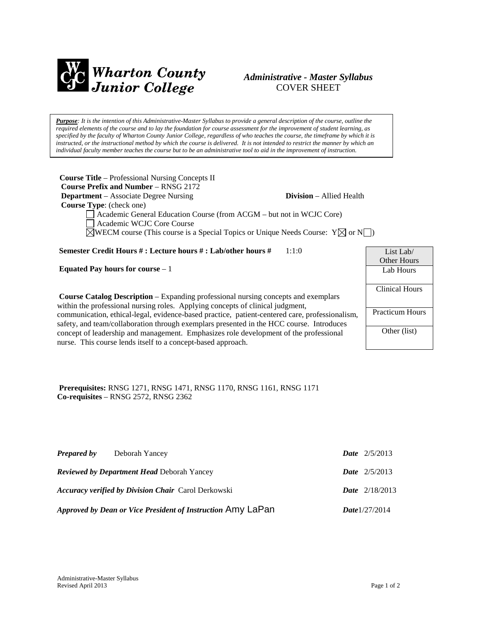

## *Administrative - Master Syllabus*  COVER SHEET

*Purpose: It is the intention of this Administrative-Master Syllabus to provide a general description of the course, outline the required elements of the course and to lay the foundation for course assessment for the improvement of student learning, as specified by the faculty of Wharton County Junior College, regardless of who teaches the course, the timeframe by which it is instructed, or the instructional method by which the course is delivered. It is not intended to restrict the manner by which an individual faculty member teaches the course but to be an administrative tool to aid in the improvement of instruction.*

| <b>Course Title</b> – Professional Nursing Concepts II                                             |                                 |
|----------------------------------------------------------------------------------------------------|---------------------------------|
| <b>Course Prefix and Number – RNSG 2172</b>                                                        |                                 |
| <b>Department</b> – Associate Degree Nursing                                                       | <b>Division</b> – Allied Health |
| <b>Course Type:</b> (check one)                                                                    |                                 |
| $\Box$ Academic General Education Course (from ACGM – but not in WCJC Core)                        |                                 |
| Academic WCJC Core Course                                                                          |                                 |
| $\boxtimes$ WECM course (This course is a Special Topics or Unique Needs Course: $Y\boxtimes$ or N |                                 |

**Semester Credit Hours # : Lecture hours # : Lab/other hours #** 1:1:0

**Equated Pay hours for course** – 1

**Course Catalog Description** – Expanding professional nursing concepts and exemplars within the professional nursing roles. Applying concepts of clinical judgment, communication, ethical-legal, evidence-based practice, patient-centered care, professionalism, safety, and team/collaboration through exemplars presented in the HCC course. Introduces concept of leadership and management. Emphasizes role development of the professional nurse. This course lends itself to a concept-based approach.

# List Lab/ Other Hours Lab Hours Clinical Hours Practicum Hours Other (list)

**Prerequisites:** RNSG 1271, RNSG 1471, RNSG 1170, RNSG 1161, RNSG 1171 **Co-requisites** – RNSG 2572, RNSG 2362

| <b>Prepared by</b> | Deborah Yancey                                              | <b>Date</b> $2/5/2013$  |
|--------------------|-------------------------------------------------------------|-------------------------|
|                    | <b>Reviewed by Department Head Deborah Yancey</b>           | <b>Date</b> $2/5/2013$  |
|                    | <b>Accuracy verified by Division Chair</b> Carol Derkowski  | <b>Date</b> $2/18/2013$ |
|                    | Approved by Dean or Vice President of Instruction Amy LaPan | Date $1/27/2014$        |